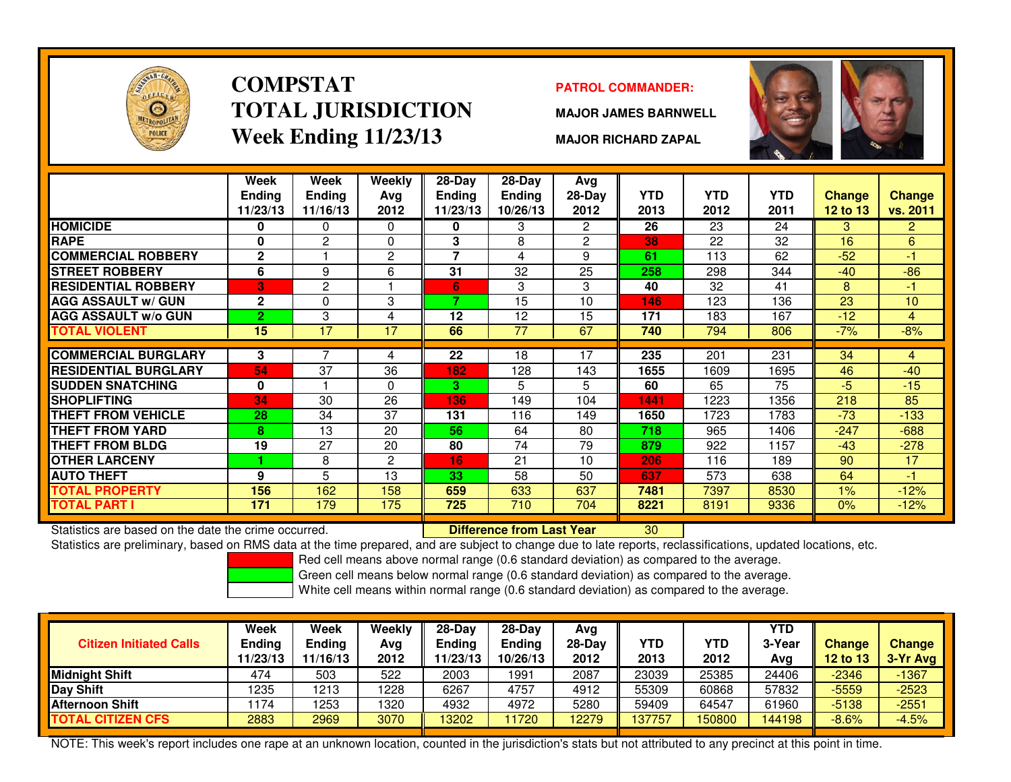

### **COMPSTATTOTAL JURISDICTIONWeek Ending 11/23/13**

#### **PATROL COMMANDER:**

**MAJOR JAMES BARNWELL**

**MAJOR RICHARD ZAPAL**



|                             | Week           | Week            | Weekly         | $28-Day$       | $28-Day$        | Avg            |            |            |            |               |                |
|-----------------------------|----------------|-----------------|----------------|----------------|-----------------|----------------|------------|------------|------------|---------------|----------------|
|                             | <b>Endina</b>  | <b>Ending</b>   | Avg            | <b>Ending</b>  | <b>Ending</b>   | $28-Day$       | <b>YTD</b> | <b>YTD</b> | <b>YTD</b> | <b>Change</b> | <b>Change</b>  |
|                             | 11/23/13       | 11/16/13        | 2012           | 11/23/13       | 10/26/13        | 2012           | 2013       | 2012       | 2011       | 12 to 13      | vs. 2011       |
| <b>HOMICIDE</b>             |                | 0               | 0              | 0              | 3               | $\overline{2}$ | 26         | 23         | 24         | 3             | $\overline{2}$ |
| <b>RAPE</b>                 | 0              | $\overline{2}$  | $\Omega$       | 3              | 8               | $\overline{c}$ | 38         | 22         | 32         | 16            | 6              |
| <b>COMMERCIAL ROBBERY</b>   | $\mathbf{2}$   |                 | $\overline{2}$ | $\overline{7}$ | 4               | 9              | 61         | 113        | 62         | $-52$         | $-1$           |
| <b>STREET ROBBERY</b>       | 6              | 9               | 6              | 31             | 32              | 25             | 258        | 298        | 344        | $-40$         | $-86$          |
| <b>RESIDENTIAL ROBBERY</b>  | ßГ             | 2               |                | 6              | 3               | 3              | 40         | 32         | 41         | 8             | $-1$           |
| <b>AGG ASSAULT w/ GUN</b>   | $\mathbf{2}$   | 0               | 3              | 7              | 15              | 10             | 146        | 123        | 136        | 23            | 10             |
| <b>AGG ASSAULT w/o GUN</b>  | 2 <sup>1</sup> | 3               | 4              | 12             | 12              | 15             | 171        | 183        | 167        | $-12$         | 4              |
| <b>TOTAL VIOLENT</b>        | 15             | $\overline{17}$ | 17             | 66             | $\overline{77}$ | 67             | 740        | 794        | 806        | $-7%$         | $-8%$          |
|                             |                |                 |                |                |                 |                |            |            |            |               |                |
| <b>COMMERCIAL BURGLARY</b>  | 3              |                 | 4              | 22             | 18              | 17             | 235        | 201        | 231        | 34            | 4              |
| <b>RESIDENTIAL BURGLARY</b> | 54             | 37              | 36             | 182            | 128             | 143            | 1655       | 1609       | 1695       | 46            | $-40$          |
| <b>SUDDEN SNATCHING</b>     | 0              |                 | 0              | 3.             | 5               | 5.             | 60         | 65         | 75         | $-5$          | $-15$          |
| <b>SHOPLIFTING</b>          | 34             | 30              | 26             | 136            | 149             | 104            | 1441       | 1223       | 1356       | 218           | 85             |
| <b>THEFT FROM VEHICLE</b>   | 28             | 34              | 37             | 131            | 116             | 149            | 1650       | 1723       | 1783       | $-73$         | $-133$         |
| THEFT FROM YARD             | 8              | 13              | 20             | 56             | 64              | 80             | 718        | 965        | 1406       | $-247$        | $-688$         |
| <b>THEFT FROM BLDG</b>      | 19             | 27              | 20             | 80             | 74              | 79             | 879        | 922        | 1157       | $-43$         | $-278$         |
| <b>OTHER LARCENY</b>        |                | 8               | $\overline{2}$ | 16.            | 21              | 10             | 206        | 116        | 189        | 90            | 17             |
| <b>AUTO THEFT</b>           | 9              | 5               | 13             | 33             | 58              | 50             | 637        | 573        | 638        | 64            | $-1$           |
| <b>TOTAL PROPERTY</b>       | 156            | 162             | 158            | 659            | 633             | 637            | 7481       | 7397       | 8530       | 1%            | $-12%$         |
| <b>TOTAL PART I</b>         | 171            | 179             | 175            | 725            | 710             | 704            | 8221       | 8191       | 9336       | 0%            | $-12%$         |

Statistics are based on the date the crime occurred. **Difference from Last Year** 

Statistics are based on the date the crime occurred. **[19] Letter Lubber Last Year Netwi**ndon Statistics are based on the date time occurred.<br>Statistics are preliminary, based on RMS data at the time prepared, and are subj

Red cell means above normal range (0.6 standard deviation) as compared to the average.

Green cell means below normal range (0.6 standard deviation) as compared to the average.

White cell means within normal range (0.6 standard deviation) as compared to the average.

| <b>Citizen Initiated Calls</b> | Week<br>Ending<br>11/23/13 | Week<br>Ending<br>11/16/13 | Weekly<br>Avg<br>2012 | 28-Dav<br>Ending<br>1/23/13 | $28-Dav$<br><b>Ending</b><br>10/26/13 | Avg<br>$28-Dav$<br>2012 | <b>YTD</b><br>2013 | YTD<br>2012 | <b>YTD</b><br>3-Year<br>Avg | <b>Change</b><br>12 to $13$ | <b>Change</b><br>3-Yr Avg |
|--------------------------------|----------------------------|----------------------------|-----------------------|-----------------------------|---------------------------------------|-------------------------|--------------------|-------------|-----------------------------|-----------------------------|---------------------------|
| <b>Midnight Shift</b>          | 474                        | 503                        | 522                   | 2003                        | 1991                                  | 2087                    | 23039              | 25385       | 24406                       | $-2346$                     | $-1367$                   |
| Day Shift                      | 1235                       | 1213                       | 228                   | 6267                        | 4757                                  | 4912                    | 55309              | 60868       | 57832                       | $-5559$                     | $-2523$                   |
| <b>Afternoon Shift</b>         | 174                        | 1253                       | 320                   | 4932                        | 4972                                  | 5280                    | 59409              | 64547       | 61960                       | $-5138$                     | $-2551$                   |
| <b>TOTAL CITIZEN CFS</b>       | 2883                       | 2969                       | 3070                  | 13202                       | 1720                                  | 2279                    | 37757              | 150800      | 144198                      | $-8.6%$                     | $-4.5%$                   |

NOTE: This week's report includes one rape at an unknown location, counted in the jurisdiction's stats but not attributed to any precinct at this point in time.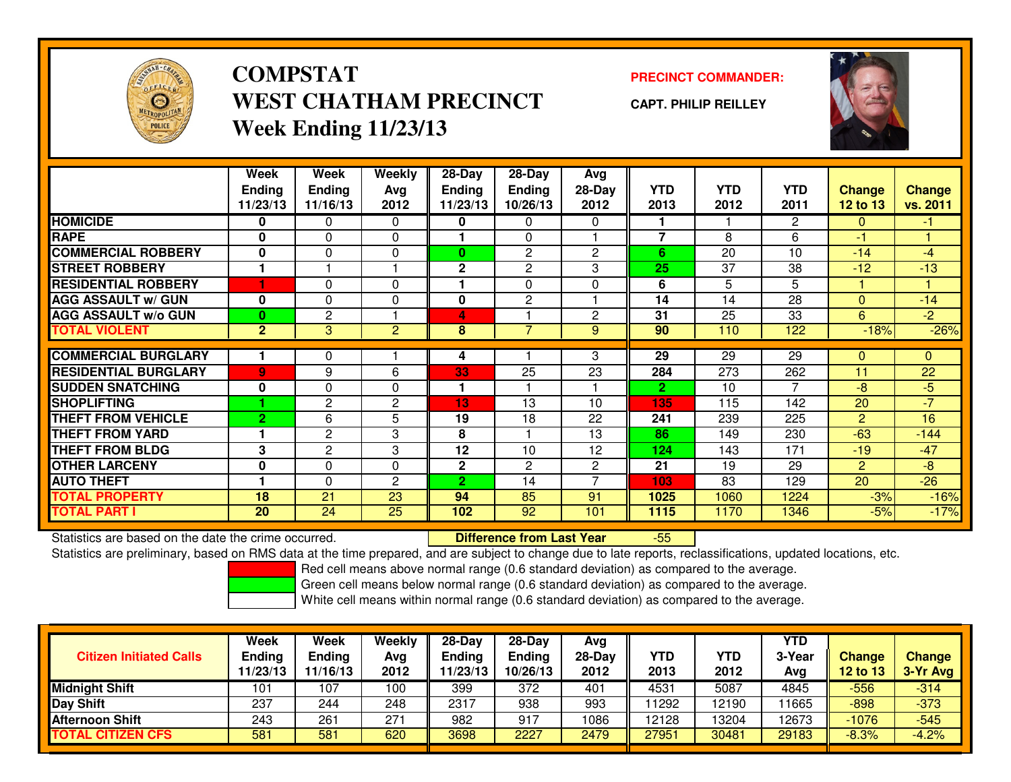

# **COMPSTATWEST CHATHAM PRECINCTWeek Ending 11/23/13**

### **PRECINCT COMMANDER:**

**CAPT. PHILIP REILLEY**



|                             | Week<br><b>Ending</b><br>11/23/13 | <b>Week</b><br><b>Ending</b><br>11/16/13 | Weekly<br>Ava<br>2012 | 28-Day<br><b>Ending</b><br>11/23/13 | $28$ -Day<br><b>Ending</b><br>10/26/13 | Avg<br>$28-Day$<br>2012 | <b>YTD</b><br>2013      | <b>YTD</b><br>2012 | <b>YTD</b><br>2011 | <b>Change</b><br><b>12 to 13</b> | <b>Change</b><br>vs. 2011 |
|-----------------------------|-----------------------------------|------------------------------------------|-----------------------|-------------------------------------|----------------------------------------|-------------------------|-------------------------|--------------------|--------------------|----------------------------------|---------------------------|
| <b>HOMICIDE</b>             | 0                                 | 0                                        | 0                     | 0                                   | 0                                      | $\Omega$                |                         |                    | $\overline{2}$     | $\mathbf{0}$                     | $\blacksquare$            |
| <b>RAPE</b>                 | 0                                 | $\Omega$                                 | $\Omega$              |                                     | $\Omega$                               |                         | $\overline{7}$          | 8                  | 6                  | -1                               |                           |
| <b>COMMERCIAL ROBBERY</b>   | $\bf{0}$                          | $\Omega$                                 | $\Omega$              | $\bf{0}$                            | 2                                      | $\mathbf{2}$            | 6                       | 20                 | 10                 | $-14$                            | -4                        |
| <b>STREET ROBBERY</b>       |                                   |                                          |                       | $\mathbf 2$                         | $\overline{c}$                         | 3                       | 25                      | 37                 | 38                 | $-12$                            | $-13$                     |
| <b>RESIDENTIAL ROBBERY</b>  | ٠                                 | $\Omega$                                 | $\Omega$              |                                     | $\Omega$                               | $\Omega$                | 6                       | 5                  | 5                  | 1                                |                           |
| <b>AGG ASSAULT w/ GUN</b>   | $\bf{0}$                          | $\Omega$                                 | 0                     | 0                                   | $\overline{c}$                         |                         | 14                      | 14                 | 28                 | $\Omega$                         | $-14$                     |
| <b>AGG ASSAULT w/o GUN</b>  | $\bf{0}$                          | 2                                        |                       | 4                                   |                                        | $\mathbf{2}$            | 31                      | 25                 | 33                 | 6                                | $-2$                      |
| <b>TOTAL VIOLENT</b>        | $\overline{2}$                    | 3                                        | $\overline{c}$        | 8                                   | ⇁                                      | 9                       | 90                      | 110                | 122                | $-18%$                           | $-26%$                    |
| <b>COMMERCIAL BURGLARY</b>  |                                   | 0                                        |                       |                                     |                                        | 3                       | 29                      | 29                 | 29                 | $\Omega$                         | 0                         |
|                             |                                   |                                          |                       | 4                                   |                                        |                         |                         |                    |                    |                                  |                           |
| <b>RESIDENTIAL BURGLARY</b> | $\overline{9}$                    | 9                                        | 6                     | 33                                  | 25                                     | 23                      | 284                     | 273                | 262                | 11                               | 22                        |
| <b>SUDDEN SNATCHING</b>     | 0                                 | $\Omega$                                 | $\Omega$              |                                     |                                        |                         | $\overline{\mathbf{2}}$ | 10                 |                    | $-8$                             | $-5$                      |
| <b>SHOPLIFTING</b>          |                                   | 2                                        | 2                     | 13                                  | 13                                     | 10                      | 135                     | 115                | 142                | 20                               | $-7$                      |
| <b>THEFT FROM VEHICLE</b>   | $\overline{2}$                    | 6                                        | 5                     | 19                                  | 18                                     | 22                      | 241                     | 239                | 225                | 2                                | 16                        |
| <b>THEFT FROM YARD</b>      |                                   | 2                                        | 3                     | 8                                   |                                        | 13                      | 86                      | 149                | 230                | $-63$                            | $-144$                    |
| <b>THEFT FROM BLDG</b>      | 3                                 | $\overline{c}$                           | 3                     | 12                                  | 10                                     | 12                      | 124                     | 143                | 171                | $-19$                            | $-47$                     |
| <b>OTHER LARCENY</b>        | 0                                 | $\Omega$                                 | $\Omega$              | $\mathbf 2$                         | $\mathbf{2}$                           | $\mathbf{2}$            | 21                      | 19                 | 29                 | $\overline{2}$                   | -8                        |
| <b>AUTO THEFT</b>           |                                   | 0                                        | 2                     | $\overline{2}$                      | 14                                     | ⇁                       | 103                     | 83                 | 129                | 20                               | $-26$                     |
| <b>TOTAL PROPERTY</b>       | 18                                | 21                                       | 23                    | 94                                  | 85                                     | 91                      | 1025                    | 1060               | 1224               | $-3%$                            | $-16%$                    |
| <b>TOTAL PART I</b>         | 20                                | 24                                       | 25                    | 102                                 | 92                                     | 101                     | 1115                    | 1170               | 1346               | $-5%$                            | $-17%$                    |

Statistics are based on the date the crime occurred. **Difference from Last Year** 

Statistics are based on the date the crime occurred.<br>Statistics are preliminary, based on RMS data at the time prepared, and are subject to change due to late reports, reclassifications, updated locations, etc.

Red cell means above normal range (0.6 standard deviation) as compared to the average.

Green cell means below normal range (0.6 standard deviation) as compared to the average.

| <b>Citizen Initiated Calls</b> | Week<br><b>Ending</b><br>11/23/13 | Week<br><b>Ending</b><br>11/16/13 | Weekly<br>Avg<br>2012 | $28-Day$<br><b>Ending</b><br>11/23/13 | $28-Day$<br><b>Ending</b><br>10/26/13 | Avg<br>28-Day<br>2012 | YTD<br>2013 | YTD<br>2012 | <b>YTD</b><br>3-Year<br>Avg | <b>Change</b><br><b>12 to 13</b> | <b>Change</b><br>3-Yr Avg |
|--------------------------------|-----------------------------------|-----------------------------------|-----------------------|---------------------------------------|---------------------------------------|-----------------------|-------------|-------------|-----------------------------|----------------------------------|---------------------------|
| <b>Midnight Shift</b>          | 101                               | 107                               | 100                   | 399                                   | 372                                   | 401                   | 4531        | 5087        | 4845                        | -556                             | $-314$                    |
| Day Shift                      | 237                               | 244                               | 248                   | 2317                                  | 938                                   | 993                   | 11292       | 12190       | 1665                        | $-898$                           | $-373$                    |
| <b>Afternoon Shift</b>         | 243                               | 26 <sup>1</sup>                   | 271                   | 982                                   | 917                                   | 1086                  | 12128       | 13204       | 12673                       | $-1076$                          | $-545$                    |
| <b>TOTAL CITIZEN CFS</b>       | 581                               | 581                               | 620                   | 3698                                  | 2227                                  | 2479                  | 27951       | 30481       | 29183                       | $-8.3%$                          | $-4.2%$                   |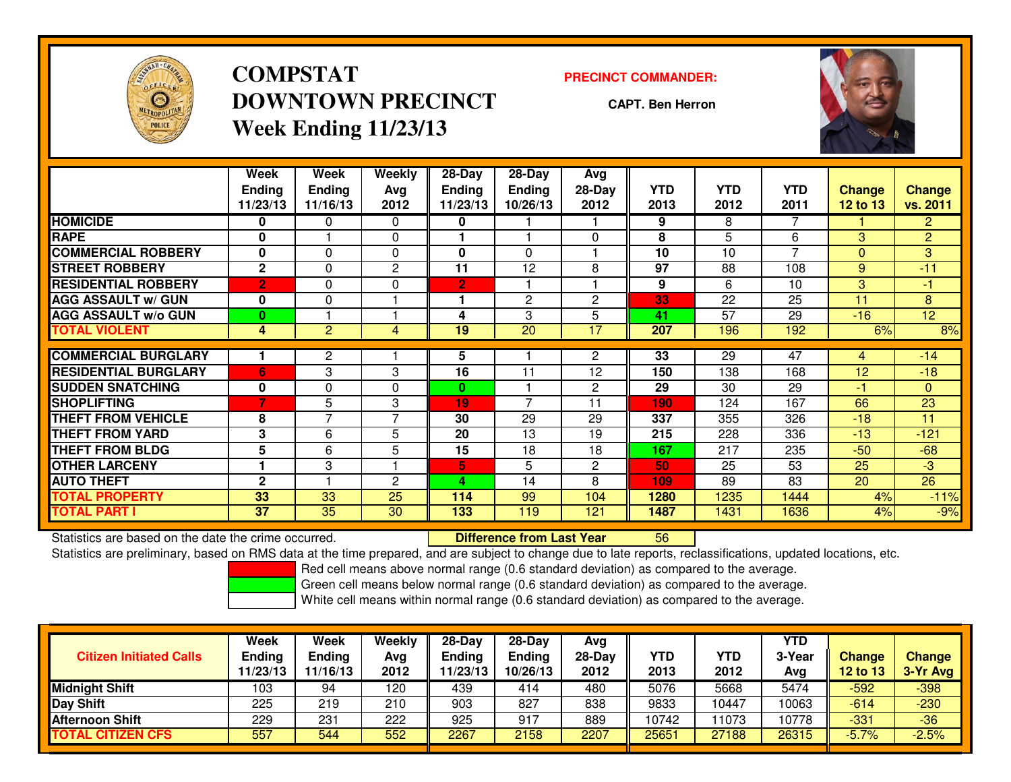

# **COMPSTATDOWNTOWN PRECINCTWeek Ending 11/23/13**

#### **PRECINCT COMMANDER:**

**CAPT. Ben Herron**



|                             | Week<br><b>Endina</b> | Week<br><b>Ending</b> | <b>Weekly</b><br>Avg | 28-Day<br>Endina | 28-Day<br><b>Endina</b> | Avg<br>28-Day | <b>YTD</b> | <b>YTD</b> | <b>YTD</b> | <b>Change</b>   | <b>Change</b>  |
|-----------------------------|-----------------------|-----------------------|----------------------|------------------|-------------------------|---------------|------------|------------|------------|-----------------|----------------|
|                             | 11/23/13              | 11/16/13              | 2012                 | 11/23/13         | 10/26/13                | 2012          | 2013       | 2012       | 2011       | <b>12 to 13</b> | vs. 2011       |
| <b>HOMICIDE</b>             | 0                     | 0                     | $\Omega$             | 0                |                         |               | 9          | 8          | 7          |                 | $\overline{2}$ |
| <b>RAPE</b>                 | $\bf{0}$              |                       | $\Omega$             |                  |                         | $\Omega$      | 8          | 5          | 6          | 3               | $\overline{2}$ |
| <b>COMMERCIAL ROBBERY</b>   | $\bf{0}$              | $\Omega$              | $\mathbf{0}$         | 0                | $\Omega$                |               | 10         | 10         | 7          | $\Omega$        | 3              |
| <b>STREET ROBBERY</b>       | $\mathbf{2}$          | $\Omega$              | 2                    | 11               | 12                      | 8             | 97         | 88         | 108        | 9               | $-11$          |
| <b>RESIDENTIAL ROBBERY</b>  | $\overline{2}$        | $\Omega$              | $\Omega$             | 2                |                         |               | 9          | 6          | 10         | 3               | -1             |
| <b>AGG ASSAULT w/ GUN</b>   | 0                     | 0                     |                      |                  | $\overline{2}$          | $\mathbf{2}$  | 33         | 22         | 25         | 11              | 8              |
| <b>AGG ASSAULT w/o GUN</b>  | $\mathbf{0}$          |                       |                      | 4                | 3                       | 5             | 41         | 57         | 29         | $-16$           | 12             |
| <b>TOTAL VIOLENT</b>        | 4                     | 2                     | 4                    | 19               | 20                      | 17            | 207        | 196        | 192        | 6%              | 8%             |
| <b>COMMERCIAL BURGLARY</b>  |                       | $\overline{2}$        |                      | 5                |                         | 2             | 33         | 29         | 47         | 4               | $-14$          |
|                             |                       |                       |                      |                  |                         |               |            |            |            |                 |                |
| <b>RESIDENTIAL BURGLARY</b> | 6                     | 3                     | 3                    | 16               | 11                      | 12            | 150        | 138        | 168        | 12              | $-18$          |
| <b>SUDDEN SNATCHING</b>     | 0                     | 0                     | 0                    | $\bf{0}$         |                         | $\mathbf{2}$  | 29         | 30         | 29         | -1              | $\mathbf{0}$   |
| <b>SHOPLIFTING</b>          | 7                     | 5                     | 3                    | 19               | $\overline{ }$          | 11            | 190        | 124        | 167        | 66              | 23             |
| <b>THEFT FROM VEHICLE</b>   | 8                     | $\overline{7}$        | $\overline{7}$       | 30               | 29                      | 29            | 337        | 355        | 326        | $-18$           | 11             |
| <b>THEFT FROM YARD</b>      | 3                     | 6                     | 5                    | 20               | 13                      | 19            | 215        | 228        | 336        | $-13$           | $-121$         |
| <b>THEFT FROM BLDG</b>      | 5                     | 6                     | 5                    | 15               | 18                      | 18            | 167        | 217        | 235        | $-50$           | $-68$          |
| <b>OTHER LARCENY</b>        |                       | 3                     |                      | 5                | 5                       | $\mathbf{2}$  | 50         | 25         | 53         | 25              | $-3$           |
| <b>AUTO THEFT</b>           | $\mathbf{2}$          |                       | $\mathbf{c}$         | л                | 14                      | 8             | 109        | 89         | 83         | 20              | 26             |
| <b>TOTAL PROPERTY</b>       | 33                    | 33                    | 25                   | 114              | 99                      | 104           | 1280       | 1235       | 1444       | 4%              | $-11%$         |
| <b>TOTAL PART I</b>         | $\overline{37}$       | 35                    | 30                   | 133              | 119                     | 121           | 1487       | 1431       | 1636       | 4%              | $-9%$          |

Statistics are based on the date the crime occurred. **Difference from Last Year** 

Statistics are based on the date the crime occurred.<br>Statistics are preliminary, based on RMS data at the time prepared, and are subject to change due to late reports, reclassifications, updated locations, etc.

Red cell means above normal range (0.6 standard deviation) as compared to the average.

Green cell means below normal range (0.6 standard deviation) as compared to the average.

| <b>Citizen Initiated Calls</b> | Week<br><b>Ending</b><br>11/23/13 | Week<br>Ending<br>11/16/13 | Weekly<br>Avg<br>2012 | $28-Day$<br><b>Ending</b><br>11/23/13 | 28-Day<br><b>Ending</b><br>10/26/13 | Avg<br>28-Day<br>2012 | YTD<br>2013 | YTD<br>2012 | YTD<br>3-Year<br>Avg | <b>Change</b><br><b>12 to 13</b> | <b>Change</b><br>3-Yr Avg |
|--------------------------------|-----------------------------------|----------------------------|-----------------------|---------------------------------------|-------------------------------------|-----------------------|-------------|-------------|----------------------|----------------------------------|---------------------------|
| <b>Midnight Shift</b>          | 103                               | 94                         | 120                   | 439                                   | 414                                 | 480                   | 5076        | 5668        | 5474                 | -592                             | $-398$                    |
| <b>Day Shift</b>               | 225                               | 219                        | 210                   | 903                                   | 827                                 | 838                   | 9833        | 10447       | 10063                | $-614$                           | $-230$                    |
| <b>Afternoon Shift</b>         | 229                               | 231                        | 222                   | 925                                   | 917                                 | 889                   | 10742       | 1073        | 10778                | $-331$                           | $-36$                     |
| <b>TOTAL CITIZEN CFS</b>       | 557                               | 544                        | 552                   | 2267                                  | 2158                                | 2207                  | 25651       | 27188       | 26315                | $-5.7%$                          | $-2.5%$                   |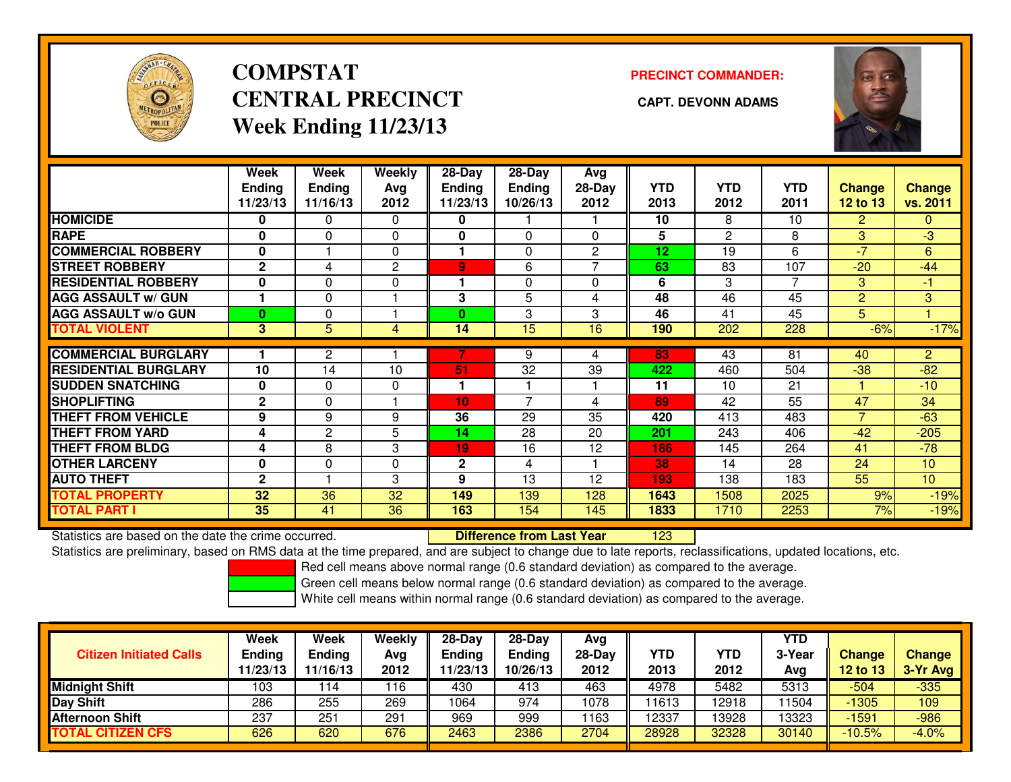

# **COMPSTATCENTRAL PRECINCT** CAPT. DEVONN ADAMS **Week Ending 11/23/13**

### **PRECINCT COMMANDER:**



|                             | Week                 | Week          | Weekly       | 28-Day        | $28$ -Day      | Avg          |            |                       |                 |                 |                |
|-----------------------------|----------------------|---------------|--------------|---------------|----------------|--------------|------------|-----------------------|-----------------|-----------------|----------------|
|                             | <b>Ending</b>        | <b>Ending</b> | Avg          | <b>Ending</b> | <b>Ending</b>  | 28-Day       | <b>YTD</b> | <b>YTD</b>            | <b>YTD</b>      | <b>Change</b>   | <b>Change</b>  |
|                             | 11/23/13             | 11/16/13      | 2012         | 11/23/13      | 10/26/13       | 2012         | 2013       | 2012                  | 2011            | <b>12 to 13</b> | vs. 2011       |
| <b>HOMICIDE</b>             | $\bf{0}$             | 0             | $\Omega$     | 0             |                |              | 10         | 8                     | 10 <sup>1</sup> | $\overline{2}$  | $\mathbf{0}$   |
| <b>RAPE</b>                 | 0                    | 0             | $\Omega$     | $\mathbf{0}$  | $\Omega$       | $\Omega$     | 5          | $\mathbf{2}^{\prime}$ | 8               | $\overline{3}$  | $-3$           |
| <b>COMMERCIAL ROBBERY</b>   | 0                    |               | 0            |               | $\Omega$       | $\mathbf{2}$ | 12         | 19                    | 6               | $-7$            | 6              |
| <b>STREET ROBBERY</b>       | $\mathbf{2}$         | 4             | $\mathbf{2}$ | 9             | 6              |              | 63         | 83                    | 107             | $-20$           | $-44$          |
| <b>RESIDENTIAL ROBBERY</b>  | 0                    | $\Omega$      | 0            |               | $\Omega$       | 0            | 6          | 3                     | $\overline{7}$  | 3               | $-1$           |
| <b>AGG ASSAULT w/ GUN</b>   | $\blacktriangleleft$ | $\Omega$      |              | 3             | 5              | 4            | 48         | $\overline{46}$       | 45              | $\overline{2}$  | 3              |
| <b>AGG ASSAULT w/o GUN</b>  | $\bf{0}$             | 0             |              | 0             | 3              | 3            | 46         | 41                    | 45              | 5               |                |
| <b>TOTAL VIOLENT</b>        | 3                    | 5             | 4            | 14            | 15             | 16           | 190        | 202                   | 228             | $-6%$           | $-17%$         |
|                             |                      |               |              |               |                |              |            |                       |                 |                 |                |
| <b>COMMERCIAL BURGLARY</b>  |                      | $\mathbf{2}$  |              |               | 9              |              | 83         | 43                    | 81              | 40              | $\overline{2}$ |
| <b>RESIDENTIAL BURGLARY</b> | 10                   | 14            | 10           | 51            | 32             | 39           | 422        | 460                   | 504             | $-38$           | $-82$          |
| <b>ISUDDEN SNATCHING</b>    | 0                    | $\Omega$      | $\Omega$     |               |                |              | 11         | 10                    | 21              |                 | $-10$          |
| <b>SHOPLIFTING</b>          | $\mathbf{2}$         | 0             |              | 10            | $\overline{7}$ | 4            | 89         | 42                    | 55              | 47              | 34             |
| <b>THEFT FROM VEHICLE</b>   | 9                    | 9             | 9            | 36            | 29             | 35           | 420        | 413                   | 483             | $\overline{7}$  | $-63$          |
| <b>THEFT FROM YARD</b>      | 4                    | $\mathbf{2}$  | 5            | 14            | 28             | 20           | 201        | 243                   | 406             | $-42$           | $-205$         |
| <b>THEFT FROM BLDG</b>      | 4                    | 8             | 3            | 19            | 16             | 12           | 186        | 145                   | 264             | 41              | $-78$          |
| <b>OTHER LARCENY</b>        | 0                    | $\Omega$      | 0            | $\mathbf{2}$  | 4              |              | 38         | 14                    | 28              | 24              | 10             |
| <b>AUTO THEFT</b>           | $\mathbf{2}$         |               | 3            | 9             | 13             | 12           | 193        | 138                   | 183             | 55              | 10             |
| <b>TOTAL PROPERTY</b>       | 32                   | 36            | 32           | 149           | 139            | 128          | 1643       | 1508                  | 2025            | 9%              | $-19%$         |
| <b>TOTAL PART I</b>         | 35                   | 41            | 36           | 163           | 154            | 145          | 1833       | 1710                  | 2253            | 7%              | $-19%$         |

Statistics are based on the date the crime occurred. **Difference from Last Year** 

<sup>123</sup>

Statistics are preliminary, based on RMS data at the time prepared, and are subject to change due to late reports, reclassifications, updated locations, etc.

Red cell means above normal range (0.6 standard deviation) as compared to the average.

Green cell means below normal range (0.6 standard deviation) as compared to the average.

| <b>Citizen Initiated Calls</b> | Week<br>Ending<br>11/23/13 | Week<br>Ending<br>11/16/13 | <b>Weekly</b><br>Avg<br>2012 | $28-Day$<br><b>Ending</b><br>11/23/13 | $28 - Day$<br><b>Ending</b><br>10/26/13 | Avg<br>28-Day<br>2012 | YTD<br>2013 | YTD<br>2012 | <b>YTD</b><br>3-Year<br>Avg | Change<br>$12$ to $13$ | <b>Change</b><br>3-Yr Avg |
|--------------------------------|----------------------------|----------------------------|------------------------------|---------------------------------------|-----------------------------------------|-----------------------|-------------|-------------|-----------------------------|------------------------|---------------------------|
| Midnight Shift                 | 103                        | 14 ا                       | 16                           | 430                                   | 413                                     | 463                   | 4978        | 5482        | 5313                        | $-504$                 | $-335$                    |
| Day Shift                      | 286                        | 255                        | 269                          | 1064                                  | 974                                     | 1078                  | 1613        | 12918       | 1504                        | $-1305$                | 109                       |
| <b>Afternoon Shift</b>         | 237                        | 251                        | 291                          | 969                                   | 999                                     | 1163                  | 12337       | 13928       | 13323                       | $-1591$                | $-986$                    |
| <b>TOTAL CITIZEN CFS</b>       | 626                        | 620                        | 676                          | 2463                                  | 2386                                    | 2704                  | 28928       | 32328       | 30140                       | $-10.5%$               | $-4.0%$                   |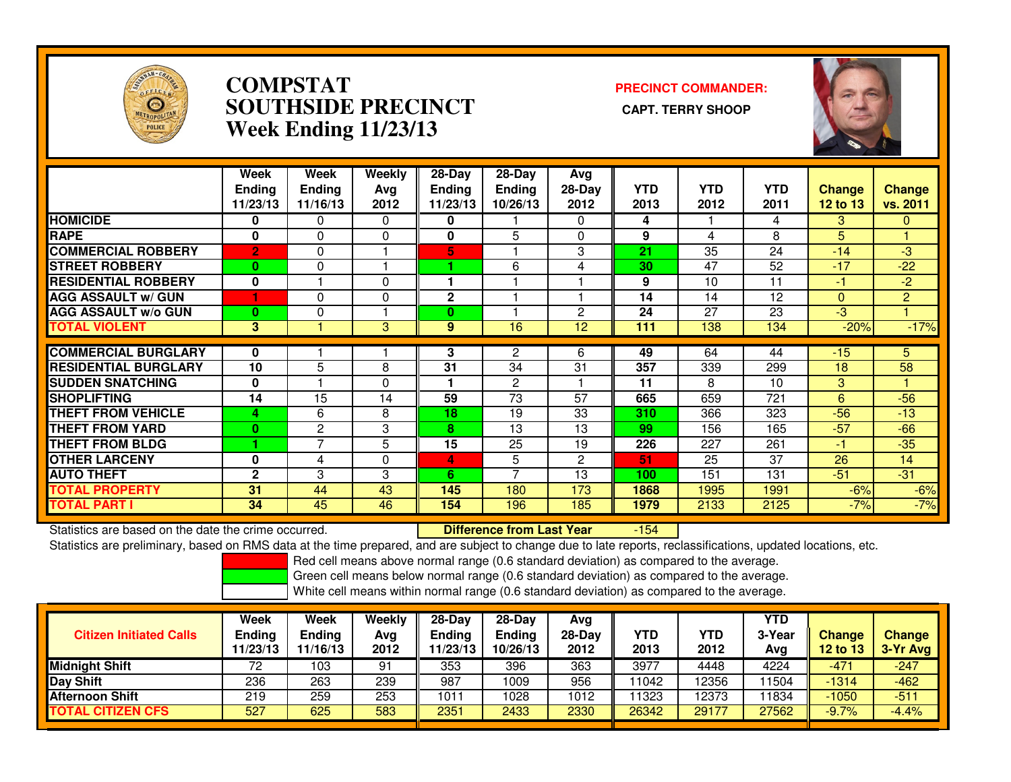

### **COMPSTAT PRECINCT COMMANDER: SOUTHSIDE PRECINCT CAPT. TERRY SHOOPWeek Ending 11/23/13**



|                             | Week<br><b>Endina</b><br>11/23/13 | Week<br><b>Ending</b><br>11/16/13 | Weekly<br>Avg<br>2012 | $28-Day$<br>Ending<br>11/23/13 | $28$ -Day<br><b>Ending</b><br>10/26/13 | Avg<br>$28-Day$<br>2012 | <b>YTD</b><br>2013 | <b>YTD</b><br>2012 | <b>YTD</b><br>2011 | <b>Change</b><br><b>12 to 13</b> | <b>Change</b><br>vs. 2011 |
|-----------------------------|-----------------------------------|-----------------------------------|-----------------------|--------------------------------|----------------------------------------|-------------------------|--------------------|--------------------|--------------------|----------------------------------|---------------------------|
| <b>HOMICIDE</b>             | 0                                 | 0                                 | $\Omega$              | 0                              |                                        | $\Omega$                | 4                  |                    | 4                  | 3                                | $\mathbf{0}$              |
| <b>RAPE</b>                 | $\mathbf{0}$                      | 0                                 | 0                     | $\bf{0}$                       | 5                                      | 0                       | 9                  | 4                  | 8                  | 5                                |                           |
| <b>COMMERCIAL ROBBERY</b>   | $\overline{2}$                    | 0                                 |                       | 5.                             |                                        | 3                       | 21                 | 35                 | 24                 | $-14$                            | $-3$                      |
| <b>STREET ROBBERY</b>       | $\bf{0}$                          | 0                                 |                       |                                | 6                                      | 4                       | 30                 | 47                 | 52                 | $-17$                            | $-22$                     |
| <b>RESIDENTIAL ROBBERY</b>  | 0                                 |                                   | 0                     |                                |                                        |                         | 9                  | 10                 | 11                 | $-1$                             | $-2$                      |
| <b>AGG ASSAULT w/ GUN</b>   |                                   | 0                                 | 0                     | 2                              |                                        |                         | 14                 | 14                 | 12                 | $\mathbf{0}$                     | $\overline{2}$            |
| <b>AGG ASSAULT w/o GUN</b>  | $\mathbf{0}$                      | 0                                 |                       | 0                              |                                        | $\mathbf{2}$            | 24                 | 27                 | 23                 | $-3$                             |                           |
| <b>TOTAL VIOLENT</b>        | 3                                 |                                   | 3                     | 9                              | 16                                     | 12                      | 111                | 138                | 134                | $-20%$                           | $-17%$                    |
| <b>COMMERCIAL BURGLARY</b>  | $\bf{0}$                          |                                   |                       | 3                              | 2                                      | 6                       | 49                 | 64                 | 44                 | $-15$                            | 5.                        |
|                             |                                   |                                   |                       |                                |                                        |                         |                    |                    |                    |                                  |                           |
| <b>RESIDENTIAL BURGLARY</b> | 10                                | 5                                 | 8                     | 31                             | 34                                     | 31                      | 357                | 339                | 299                | 18                               | 58                        |
| <b>SUDDEN SNATCHING</b>     | $\mathbf 0$                       |                                   | 0                     |                                | $\overline{2}$                         |                         | 11                 | 8                  | 10                 | 3                                |                           |
| <b>SHOPLIFTING</b>          | 14                                | 15                                | 14                    | 59                             | 73                                     | 57                      | 665                | 659                | 721                | 6                                | $-56$                     |
| <b>THEFT FROM VEHICLE</b>   | 4                                 | 6                                 | 8                     | 18                             | 19                                     | 33                      | 310                | 366                | 323                | $-56$                            | $-13$                     |
| <b>THEFT FROM YARD</b>      | $\bf{0}$                          | 2                                 | 3                     | 8                              | 13                                     | 13                      | 99                 | 156                | 165                | $-57$                            | $-66$                     |
| <b>THEFT FROM BLDG</b>      |                                   | $\overline{7}$                    | 5                     | 15                             | 25                                     | 19                      | 226                | 227                | 261                | -1                               | $-35$                     |
| <b>OTHER LARCENY</b>        | 0                                 | 4                                 | 0                     | 4                              | 5                                      | $\overline{2}$          | 51                 | 25                 | 37                 | 26                               | 14                        |
| <b>AUTO THEFT</b>           | $\mathbf{2}$                      | 3                                 | 3                     | 6                              | $\overline{\phantom{a}}$               | 13                      | 100                | 151                | 131                | $-51$                            | $-31$                     |
| <b>TOTAL PROPERTY</b>       | 31                                | 44                                | 43                    | 145                            | 180                                    | 173                     | 1868               | 1995               | 1991               | $-6%$                            | $-6%$                     |
| <b>TOTAL PART I</b>         | 34                                | 45                                | 46                    | 154                            | 196                                    | 185                     | 1979               | 2133               | 2125               | $-7%$                            | $-7%$                     |

Statistics are based on the date the crime occurred. **Difference from Last Year**  -154Statistics are preliminary, based on RMS data at the time prepared, and are subject to change due to late reports, reclassifications, updated locations, etc.

Red cell means above normal range (0.6 standard deviation) as compared to the average.

Green cell means below normal range (0.6 standard deviation) as compared to the average.

| <b>Citizen Initiated Calls</b> | Week<br><b>Ending</b><br>11/23/13 | Week<br>Ending<br>11/16/13 | Weekly<br>Avg<br>2012 | $28-Dav$<br>Ending<br>1/23/13 | $28-Dav$<br><b>Ending</b><br>10/26/13 | Avg<br>$28-Day$<br>2012 | YTD<br>2013 | YTD<br>2012 | <b>YTD</b><br>3-Year<br>Avg | <b>Change</b><br>12 to 13 | <b>Change</b><br>3-Yr Avg |
|--------------------------------|-----------------------------------|----------------------------|-----------------------|-------------------------------|---------------------------------------|-------------------------|-------------|-------------|-----------------------------|---------------------------|---------------------------|
| <b>Midnight Shift</b>          | 72                                | 103                        | 91                    | 353                           | 396                                   | 363                     | 3977        | 4448        | 4224                        | -471                      | $-247$                    |
| Day Shift                      | 236                               | 263                        | 239                   | 987                           | 1009                                  | 956                     | 11042       | 12356       | 11504                       | $-1314$                   | $-462$                    |
| <b>Afternoon Shift</b>         | 219                               | 259                        | 253                   | 1011                          | 1028                                  | 1012                    | 11323       | 12373       | 11834                       | $-1050$                   | $-511$                    |
| <b>TOTAL CITIZEN CFS</b>       | 527                               | 625                        | 583                   | 2351                          | 2433                                  | 2330                    | 26342       | 29177       | 27562                       | $-9.7%$                   | $-4.4%$                   |